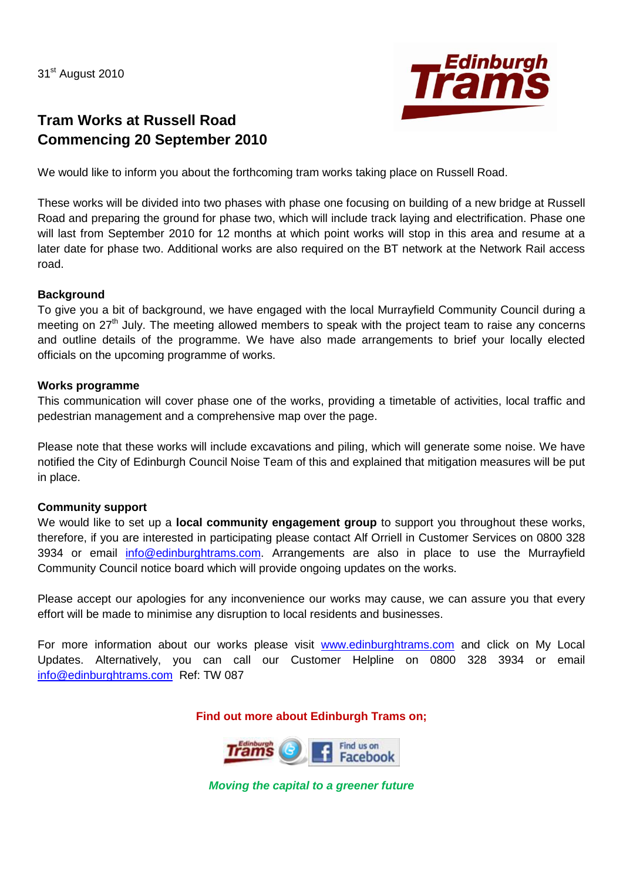31<sup>st</sup> August 2010



# **Tram Works at Russell Road Commencing 20 September 2010**

We would like to inform you about the forthcoming tram works taking place on Russell Road.

These works will be divided into two phases with phase one focusing on building of a new bridge at Russell Road and preparing the ground for phase two, which will include track laying and electrification. Phase one will last from September 2010 for 12 months at which point works will stop in this area and resume at a later date for phase two. Additional works are also required on the BT network at the Network Rail access road.

### **Background**

To give you a bit of background, we have engaged with the local Murrayfield Community Council during a meeting on 27<sup>th</sup> July. The meeting allowed members to speak with the project team to raise any concerns and outline details of the programme. We have also made arrangements to brief your locally elected officials on the upcoming programme of works.

### **Works programme**

This communication will cover phase one of the works, providing a timetable of activities, local traffic and pedestrian management and a comprehensive map over the page.

Please note that these works will include excavations and piling, which will generate some noise. We have notified the City of Edinburgh Council Noise Team of this and explained that mitigation measures will be put in place.

## **Community support**

We would like to set up a **local community engagement group** to support you throughout these works, therefore, if you are interested in participating please contact Alf Orriell in Customer Services on 0800 328 3934 or email [info@edinburghtrams.com.](mailto:info@edinburghtrams.com) Arrangements are also in place to use the Murrayfield Community Council notice board which will provide ongoing updates on the works.

Please accept our apologies for any inconvenience our works may cause, we can assure you that every effort will be made to minimise any disruption to local residents and businesses.

For more information about our works please visit [www.edinburghtrams.com](http://www.edinburghtrams.com/) and click on My Local Updates. Alternatively, you can call our Customer Helpline on 0800 328 3934 or email [info@edinburghtrams.com](mailto:info@edinburghtrams.com) Ref: TW 087

**Find out more about Edinburgh Trams on;**



*Moving the capital to a greener future*